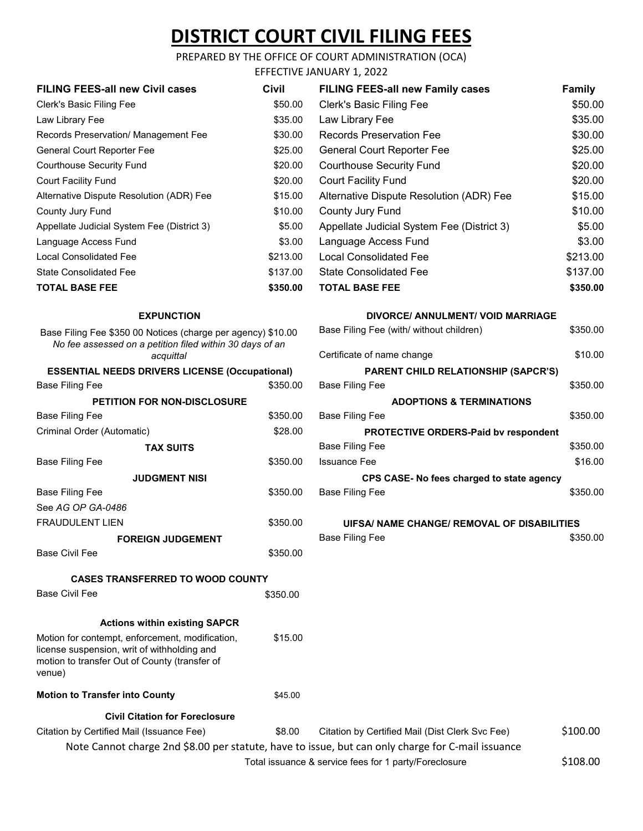# **DISTRICT COURT CIVIL FILING FEES**

### PREPARED BY THE OFFICE OF COURT ADMINISTRATION (OCA)

|                                                                                                                                       |          | EFFECTIVE JANUARY 1, 2022                   |               |
|---------------------------------------------------------------------------------------------------------------------------------------|----------|---------------------------------------------|---------------|
| <b>FILING FEES-all new Civil cases</b>                                                                                                | Civil    | <b>FILING FEES-all new Family cases</b>     | <b>Family</b> |
| Clerk's Basic Filing Fee                                                                                                              | \$50.00  | Clerk's Basic Filing Fee                    | \$50.00       |
| Law Library Fee                                                                                                                       | \$35.00  | Law Library Fee                             | \$35.00       |
| Records Preservation/ Management Fee                                                                                                  | \$30.00  | <b>Records Preservation Fee</b>             | \$30.00       |
| General Court Reporter Fee                                                                                                            | \$25.00  | General Court Reporter Fee                  | \$25.00       |
| <b>Courthouse Security Fund</b>                                                                                                       | \$20.00  | <b>Courthouse Security Fund</b>             | \$20.00       |
| <b>Court Facility Fund</b>                                                                                                            | \$20.00  | <b>Court Facility Fund</b>                  | \$20.00       |
| Alternative Dispute Resolution (ADR) Fee                                                                                              | \$15.00  | Alternative Dispute Resolution (ADR) Fee    | \$15.00       |
| County Jury Fund                                                                                                                      | \$10.00  | County Jury Fund                            | \$10.00       |
| Appellate Judicial System Fee (District 3)                                                                                            | \$5.00   | Appellate Judicial System Fee (District 3)  | \$5.00        |
| Language Access Fund                                                                                                                  | \$3.00   | Language Access Fund                        | \$3.00        |
| <b>Local Consolidated Fee</b>                                                                                                         | \$213.00 | <b>Local Consolidated Fee</b>               | \$213.00      |
| <b>State Consolidated Fee</b>                                                                                                         | \$137.00 | <b>State Consolidated Fee</b>               | \$137.00      |
| <b>TOTAL BASE FEE</b>                                                                                                                 | \$350.00 | <b>TOTAL BASE FEE</b>                       | \$350.00      |
|                                                                                                                                       |          |                                             |               |
| <b>EXPUNCTION</b>                                                                                                                     |          | <b>DIVORCE/ ANNULMENT/ VOID MARRIAGE</b>    |               |
| Base Filing Fee \$350 00 Notices (charge per agency) \$10.00<br>No fee assessed on a petition filed within 30 days of an<br>acquittal |          | Base Filing Fee (with/ without children)    | \$350.00      |
|                                                                                                                                       |          | Certificate of name change                  | \$10.00       |
| <b>ESSENTIAL NEEDS DRIVERS LICENSE (Occupational)</b>                                                                                 |          | <b>PARENT CHILD RELATIONSHIP (SAPCR'S)</b>  |               |
| <b>Base Filing Fee</b>                                                                                                                | \$350.00 | <b>Base Filing Fee</b>                      | \$350.00      |
| PETITION FOR NON-DISCLOSURE                                                                                                           |          | <b>ADOPTIONS &amp; TERMINATIONS</b>         |               |
| <b>Base Filing Fee</b>                                                                                                                | \$350.00 | <b>Base Filing Fee</b>                      | \$350.00      |
| Criminal Order (Automatic)                                                                                                            | \$28.00  | PROTECTIVE ORDERS-Paid bv respondent        |               |
| <b>TAX SUITS</b>                                                                                                                      |          | <b>Base Filing Fee</b>                      | \$350.00      |
| <b>Base Filing Fee</b>                                                                                                                | \$350.00 | <b>Issuance Fee</b>                         | \$16.00       |
| <b>JUDGMENT NISI</b>                                                                                                                  |          | CPS CASE- No fees charged to state agency   |               |
| <b>Base Filing Fee</b>                                                                                                                | \$350.00 | <b>Base Filing Fee</b>                      | \$350.00      |
| See AG OP GA-0486                                                                                                                     |          |                                             |               |
| <b>FRAUDULENT LIEN</b>                                                                                                                | \$350.00 | UIFSA/ NAME CHANGE/ REMOVAL OF DISABILITIES |               |
| <b>FOREIGN JUDGEMENT</b>                                                                                                              |          | <b>Base Filing Fee</b>                      | \$350.00      |
| <b>Base Civil Fee</b>                                                                                                                 | \$350.00 |                                             |               |
| <b>CASES TRANSFERRED TO WOOD COUNTY</b>                                                                                               |          |                                             |               |
| <b>Base Civil Fee</b>                                                                                                                 | \$350.00 |                                             |               |
|                                                                                                                                       |          |                                             |               |
| <b>Actions within existing SAPCR</b>                                                                                                  |          |                                             |               |

Motion for contempt, enforcement, modification, license suspension, writ of withholding and motion to transfer Out of County (transfer of venue) \$15.00

**Motion to Transfer into County \$45.00** 

**Civil Citation for Foreclosure**

Citation by Certified Mail (Issuance Fee) \$8.00 Citation by Certified Mail (Dist Clerk Svc Fee) \$100.00 Note Cannot charge 2nd \$8.00 per statute, have to issue, but can only charge for C-mail issuance

Total issuance & service fees for 1 party/Foreclosure  $$108.00$